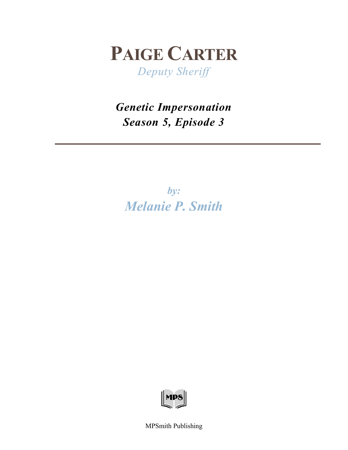

*Deputy Sheriff*

*Genetic Impersonation Season 5, Episode 3*

*by: Melanie P. Smith*



MPSmith Publishing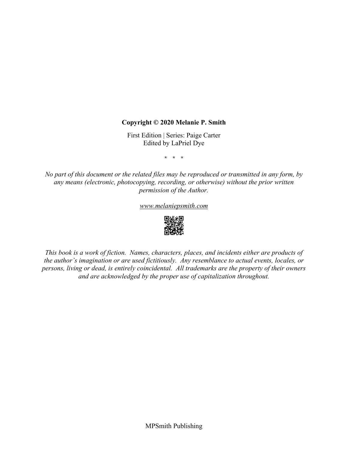## **Copyright © 2020 Melanie P. Smith**

First Edition | Series: Paige Carter Edited by LaPriel Dye

\* \* \*

*No part of this document or the related files may be reproduced or transmitted in any form, by any means (electronic, photocopying, recording, or otherwise) without the prior written permission of the Author.*

*[www.melaniepsmith.com](http://www.melaniepsmith.com/)*



*This book is a work of fiction. Names, characters, places, and incidents either are products of the author's imagination or are used fictitiously. Any resemblance to actual events, locales, or persons, living or dead, is entirely coincidental. All trademarks are the property of their owners and are acknowledged by the proper use of capitalization throughout.*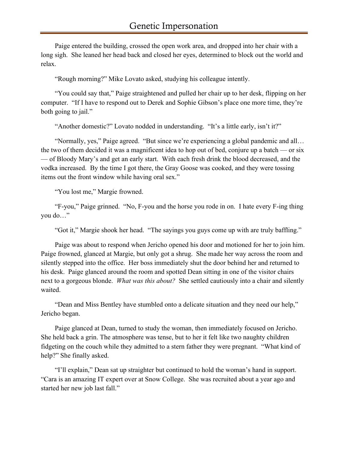Paige entered the building, crossed the open work area, and dropped into her chair with a long sigh. She leaned her head back and closed her eyes, determined to block out the world and relax.

"Rough morning?" Mike Lovato asked, studying his colleague intently.

"You could say that," Paige straightened and pulled her chair up to her desk, flipping on her computer. "If I have to respond out to Derek and Sophie Gibson's place one more time, they're both going to jail."

"Another domestic?" Lovato nodded in understanding. "It's a little early, isn't it?"

"Normally, yes," Paige agreed. "But since we're experiencing a global pandemic and all… the two of them decided it was a magnificent idea to hop out of bed, conjure up a batch — or six — of Bloody Mary's and get an early start. With each fresh drink the blood decreased, and the vodka increased. By the time I got there, the Gray Goose was cooked, and they were tossing items out the front window while having oral sex."

"You lost me," Margie frowned.

"F-you," Paige grinned. "No, F-you and the horse you rode in on. I hate every F-ing thing you do…"

"Got it," Margie shook her head. "The sayings you guys come up with are truly baffling."

Paige was about to respond when Jericho opened his door and motioned for her to join him. Paige frowned, glanced at Margie, but only got a shrug. She made her way across the room and silently stepped into the office. Her boss immediately shut the door behind her and returned to his desk. Paige glanced around the room and spotted Dean sitting in one of the visitor chairs next to a gorgeous blonde. *What was this about?* She settled cautiously into a chair and silently waited.

"Dean and Miss Bentley have stumbled onto a delicate situation and they need our help," Jericho began.

Paige glanced at Dean, turned to study the woman, then immediately focused on Jericho. She held back a grin. The atmosphere was tense, but to her it felt like two naughty children fidgeting on the couch while they admitted to a stern father they were pregnant. "What kind of help?" She finally asked.

"I'll explain," Dean sat up straighter but continued to hold the woman's hand in support. "Cara is an amazing IT expert over at Snow College. She was recruited about a year ago and started her new job last fall."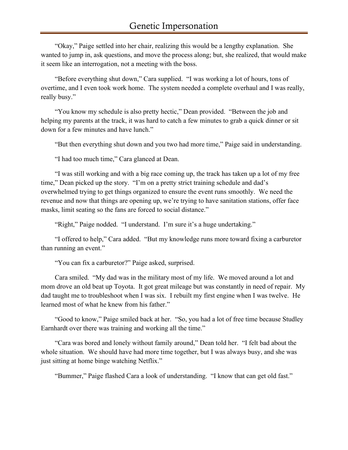"Okay," Paige settled into her chair, realizing this would be a lengthy explanation. She wanted to jump in, ask questions, and move the process along; but, she realized, that would make it seem like an interrogation, not a meeting with the boss.

"Before everything shut down," Cara supplied. "I was working a lot of hours, tons of overtime, and I even took work home. The system needed a complete overhaul and I was really, really busy."

"You know my schedule is also pretty hectic," Dean provided. "Between the job and helping my parents at the track, it was hard to catch a few minutes to grab a quick dinner or sit down for a few minutes and have lunch."

"But then everything shut down and you two had more time," Paige said in understanding.

"I had too much time," Cara glanced at Dean.

"I was still working and with a big race coming up, the track has taken up a lot of my free time," Dean picked up the story. "I'm on a pretty strict training schedule and dad's overwhelmed trying to get things organized to ensure the event runs smoothly. We need the revenue and now that things are opening up, we're trying to have sanitation stations, offer face masks, limit seating so the fans are forced to social distance."

"Right," Paige nodded. "I understand. I'm sure it's a huge undertaking."

"I offered to help," Cara added. "But my knowledge runs more toward fixing a carburetor than running an event."

"You can fix a carburetor?" Paige asked, surprised.

Cara smiled. "My dad was in the military most of my life. We moved around a lot and mom drove an old beat up Toyota. It got great mileage but was constantly in need of repair. My dad taught me to troubleshoot when I was six. I rebuilt my first engine when I was twelve. He learned most of what he knew from his father."

"Good to know," Paige smiled back at her. "So, you had a lot of free time because Studley Earnhardt over there was training and working all the time."

"Cara was bored and lonely without family around," Dean told her. "I felt bad about the whole situation. We should have had more time together, but I was always busy, and she was just sitting at home binge watching Netflix."

"Bummer," Paige flashed Cara a look of understanding. "I know that can get old fast."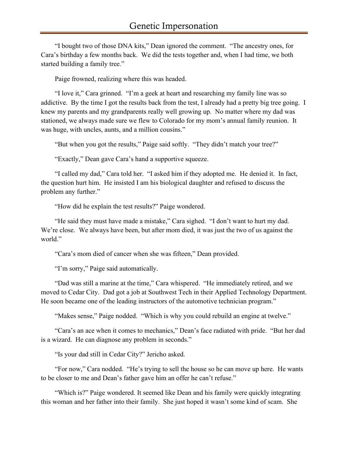"I bought two of those DNA kits," Dean ignored the comment. "The ancestry ones, for Cara's birthday a few months back. We did the tests together and, when I had time, we both started building a family tree."

Paige frowned, realizing where this was headed.

"I love it," Cara grinned. "I'm a geek at heart and researching my family line was so addictive. By the time I got the results back from the test, I already had a pretty big tree going. I knew my parents and my grandparents really well growing up. No matter where my dad was stationed, we always made sure we flew to Colorado for my mom's annual family reunion. It was huge, with uncles, aunts, and a million cousins."

"But when you got the results," Paige said softly. "They didn't match your tree?"

"Exactly," Dean gave Cara's hand a supportive squeeze.

"I called my dad," Cara told her. "I asked him if they adopted me. He denied it. In fact, the question hurt him. He insisted I am his biological daughter and refused to discuss the problem any further."

"How did he explain the test results?" Paige wondered.

"He said they must have made a mistake," Cara sighed. "I don't want to hurt my dad. We're close. We always have been, but after mom died, it was just the two of us against the world."

"Cara's mom died of cancer when she was fifteen," Dean provided.

"I'm sorry," Paige said automatically.

"Dad was still a marine at the time," Cara whispered. "He immediately retired, and we moved to Cedar City. Dad got a job at Southwest Tech in their Applied Technology Department. He soon became one of the leading instructors of the automotive technician program."

"Makes sense," Paige nodded. "Which is why you could rebuild an engine at twelve."

"Cara's an ace when it comes to mechanics," Dean's face radiated with pride. "But her dad is a wizard. He can diagnose any problem in seconds."

"Is your dad still in Cedar City?" Jericho asked.

"For now," Cara nodded. "He's trying to sell the house so he can move up here. He wants to be closer to me and Dean's father gave him an offer he can't refuse."

"Which is?" Paige wondered. It seemed like Dean and his family were quickly integrating this woman and her father into their family. She just hoped it wasn't some kind of scam. She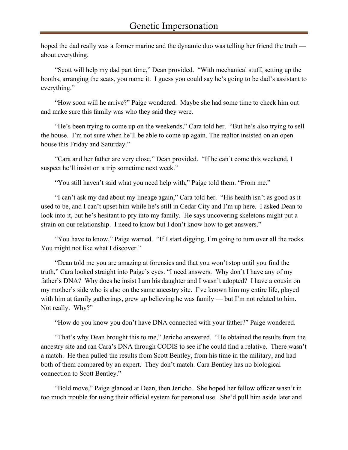hoped the dad really was a former marine and the dynamic duo was telling her friend the truth about everything.

"Scott will help my dad part time," Dean provided. "With mechanical stuff, setting up the booths, arranging the seats, you name it. I guess you could say he's going to be dad's assistant to everything."

"How soon will he arrive?" Paige wondered. Maybe she had some time to check him out and make sure this family was who they said they were.

"He's been trying to come up on the weekends," Cara told her. "But he's also trying to sell the house. I'm not sure when he'll be able to come up again. The realtor insisted on an open house this Friday and Saturday."

"Cara and her father are very close," Dean provided. "If he can't come this weekend, I suspect he'll insist on a trip sometime next week."

"You still haven't said what you need help with," Paige told them. "From me."

"I can't ask my dad about my lineage again," Cara told her. "His health isn't as good as it used to be, and I can't upset him while he's still in Cedar City and I'm up here. I asked Dean to look into it, but he's hesitant to pry into my family. He says uncovering skeletons might put a strain on our relationship. I need to know but I don't know how to get answers."

"You have to know," Paige warned. "If I start digging, I'm going to turn over all the rocks. You might not like what I discover."

"Dean told me you are amazing at forensics and that you won't stop until you find the truth," Cara looked straight into Paige's eyes. "I need answers. Why don't I have any of my father's DNA? Why does he insist I am his daughter and I wasn't adopted? I have a cousin on my mother's side who is also on the same ancestry site. I've known him my entire life, played with him at family gatherings, grew up believing he was family — but I'm not related to him. Not really. Why?"

"How do you know you don't have DNA connected with your father?" Paige wondered.

"That's why Dean brought this to me," Jericho answered. "He obtained the results from the ancestry site and ran Cara's DNA through CODIS to see if he could find a relative. There wasn't a match. He then pulled the results from Scott Bentley, from his time in the military, and had both of them compared by an expert. They don't match. Cara Bentley has no biological connection to Scott Bentley."

"Bold move," Paige glanced at Dean, then Jericho. She hoped her fellow officer wasn't in too much trouble for using their official system for personal use. She'd pull him aside later and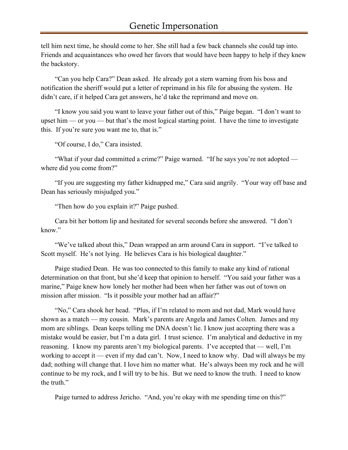tell him next time, he should come to her. She still had a few back channels she could tap into. Friends and acquaintances who owed her favors that would have been happy to help if they knew the backstory.

"Can you help Cara?" Dean asked. He already got a stern warning from his boss and notification the sheriff would put a letter of reprimand in his file for abusing the system. He didn't care, if it helped Cara get answers, he'd take the reprimand and move on.

"I know you said you want to leave your father out of this," Paige began. "I don't want to upset him — or you — but that's the most logical starting point. I have the time to investigate this. If you're sure you want me to, that is."

"Of course, I do," Cara insisted.

"What if your dad committed a crime?" Paige warned. "If he says you're not adopted where did you come from?"

"If you are suggesting my father kidnapped me," Cara said angrily. "Your way off base and Dean has seriously misjudged you."

"Then how do you explain it?" Paige pushed.

Cara bit her bottom lip and hesitated for several seconds before she answered. "I don't know."

"We've talked about this," Dean wrapped an arm around Cara in support. "I've talked to Scott myself. He's not lying. He believes Cara is his biological daughter."

Paige studied Dean. He was too connected to this family to make any kind of rational determination on that front, but she'd keep that opinion to herself. "You said your father was a marine," Paige knew how lonely her mother had been when her father was out of town on mission after mission. "Is it possible your mother had an affair?"

"No," Cara shook her head. "Plus, if I'm related to mom and not dad, Mark would have shown as a match — my cousin. Mark's parents are Angela and James Colten. James and my mom are siblings. Dean keeps telling me DNA doesn't lie. I know just accepting there was a mistake would be easier, but I'm a data girl. I trust science. I'm analytical and deductive in my reasoning. I know my parents aren't my biological parents. I've accepted that — well, I'm working to accept it — even if my dad can't. Now, I need to know why. Dad will always be my dad; nothing will change that. I love him no matter what. He's always been my rock and he will continue to be my rock, and I will try to be his. But we need to know the truth. I need to know the truth."

Paige turned to address Jericho. "And, you're okay with me spending time on this?"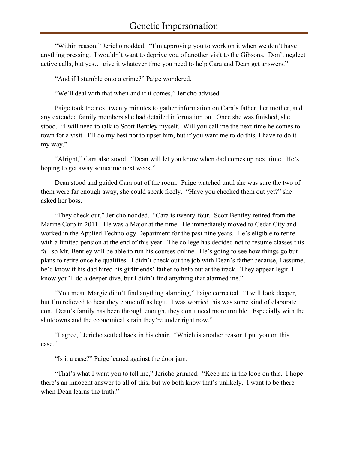"Within reason," Jericho nodded. "I'm approving you to work on it when we don't have anything pressing. I wouldn't want to deprive you of another visit to the Gibsons. Don't neglect active calls, but yes… give it whatever time you need to help Cara and Dean get answers."

"And if I stumble onto a crime?" Paige wondered.

"We'll deal with that when and if it comes," Jericho advised.

Paige took the next twenty minutes to gather information on Cara's father, her mother, and any extended family members she had detailed information on. Once she was finished, she stood. "I will need to talk to Scott Bentley myself. Will you call me the next time he comes to town for a visit. I'll do my best not to upset him, but if you want me to do this, I have to do it my way."

"Alright," Cara also stood. "Dean will let you know when dad comes up next time. He's hoping to get away sometime next week."

Dean stood and guided Cara out of the room. Paige watched until she was sure the two of them were far enough away, she could speak freely. "Have you checked them out yet?" she asked her boss.

"They check out," Jericho nodded. "Cara is twenty-four. Scott Bentley retired from the Marine Corp in 2011. He was a Major at the time. He immediately moved to Cedar City and worked in the Applied Technology Department for the past nine years. He's eligible to retire with a limited pension at the end of this year. The college has decided not to resume classes this fall so Mr. Bentley will be able to run his courses online. He's going to see how things go but plans to retire once he qualifies. I didn't check out the job with Dean's father because, I assume, he'd know if his dad hired his girlfriends' father to help out at the track. They appear legit. I know you'll do a deeper dive, but I didn't find anything that alarmed me."

"You mean Margie didn't find anything alarming," Paige corrected. "I will look deeper, but I'm relieved to hear they come off as legit. I was worried this was some kind of elaborate con. Dean's family has been through enough, they don't need more trouble. Especially with the shutdowns and the economical strain they're under right now."

"I agree," Jericho settled back in his chair. "Which is another reason I put you on this case."

"Is it a case?" Paige leaned against the door jam.

"That's what I want you to tell me," Jericho grinned. "Keep me in the loop on this. I hope there's an innocent answer to all of this, but we both know that's unlikely. I want to be there when Dean learns the truth."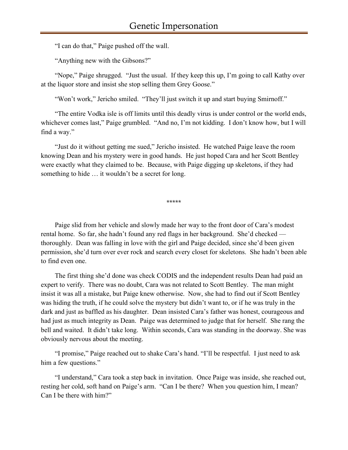"I can do that," Paige pushed off the wall.

"Anything new with the Gibsons?"

"Nope," Paige shrugged. "Just the usual. If they keep this up, I'm going to call Kathy over at the liquor store and insist she stop selling them Grey Goose."

"Won't work," Jericho smiled. "They'll just switch it up and start buying Smirnoff."

"The entire Vodka isle is off limits until this deadly virus is under control or the world ends, whichever comes last," Paige grumbled. "And no, I'm not kidding. I don't know how, but I will find a way."

"Just do it without getting me sued," Jericho insisted. He watched Paige leave the room knowing Dean and his mystery were in good hands. He just hoped Cara and her Scott Bentley were exactly what they claimed to be. Because, with Paige digging up skeletons, if they had something to hide … it wouldn't be a secret for long.

\*\*\*\*\*

Paige slid from her vehicle and slowly made her way to the front door of Cara's modest rental home. So far, she hadn't found any red flags in her background. She'd checked thoroughly. Dean was falling in love with the girl and Paige decided, since she'd been given permission, she'd turn over ever rock and search every closet for skeletons. She hadn't been able to find even one.

The first thing she'd done was check CODIS and the independent results Dean had paid an expert to verify. There was no doubt, Cara was not related to Scott Bentley. The man might insist it was all a mistake, but Paige knew otherwise. Now, she had to find out if Scott Bentley was hiding the truth, if he could solve the mystery but didn't want to, or if he was truly in the dark and just as baffled as his daughter. Dean insisted Cara's father was honest, courageous and had just as much integrity as Dean. Paige was determined to judge that for herself. She rang the bell and waited. It didn't take long. Within seconds, Cara was standing in the doorway. She was obviously nervous about the meeting.

"I promise," Paige reached out to shake Cara's hand. "I'll be respectful. I just need to ask him a few questions."

"I understand," Cara took a step back in invitation. Once Paige was inside, she reached out, resting her cold, soft hand on Paige's arm. "Can I be there? When you question him, I mean? Can I be there with him?"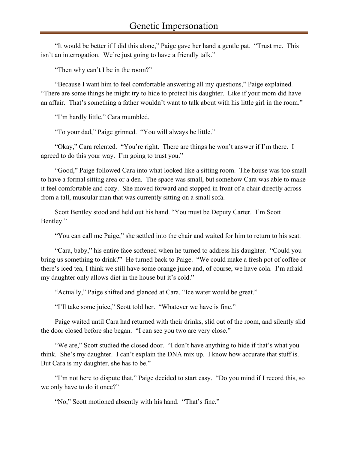"It would be better if I did this alone," Paige gave her hand a gentle pat. "Trust me. This isn't an interrogation. We're just going to have a friendly talk."

"Then why can't I be in the room?"

"Because I want him to feel comfortable answering all my questions," Paige explained. "There are some things he might try to hide to protect his daughter. Like if your mom did have an affair. That's something a father wouldn't want to talk about with his little girl in the room."

"I'm hardly little," Cara mumbled.

"To your dad," Paige grinned. "You will always be little."

"Okay," Cara relented. "You're right. There are things he won't answer if I'm there. I agreed to do this your way. I'm going to trust you."

"Good," Paige followed Cara into what looked like a sitting room. The house was too small to have a formal sitting area or a den. The space was small, but somehow Cara was able to make it feel comfortable and cozy. She moved forward and stopped in front of a chair directly across from a tall, muscular man that was currently sitting on a small sofa.

Scott Bentley stood and held out his hand. "You must be Deputy Carter. I'm Scott Bentley."

"You can call me Paige," she settled into the chair and waited for him to return to his seat.

"Cara, baby," his entire face softened when he turned to address his daughter. "Could you bring us something to drink?" He turned back to Paige. "We could make a fresh pot of coffee or there's iced tea, I think we still have some orange juice and, of course, we have cola. I'm afraid my daughter only allows diet in the house but it's cold."

"Actually," Paige shifted and glanced at Cara. "Ice water would be great."

"I'll take some juice," Scott told her. "Whatever we have is fine."

Paige waited until Cara had returned with their drinks, slid out of the room, and silently slid the door closed before she began. "I can see you two are very close."

"We are," Scott studied the closed door. "I don't have anything to hide if that's what you think. She's my daughter. I can't explain the DNA mix up. I know how accurate that stuff is. But Cara is my daughter, she has to be."

"I'm not here to dispute that," Paige decided to start easy. "Do you mind if I record this, so we only have to do it once?"

"No," Scott motioned absently with his hand. "That's fine."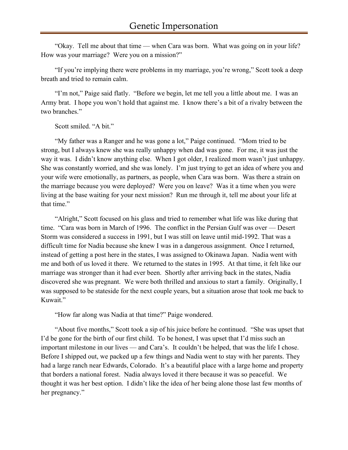"Okay. Tell me about that time — when Cara was born. What was going on in your life? How was your marriage? Were you on a mission?"

"If you're implying there were problems in my marriage, you're wrong," Scott took a deep breath and tried to remain calm.

"I'm not," Paige said flatly. "Before we begin, let me tell you a little about me. I was an Army brat. I hope you won't hold that against me. I know there's a bit of a rivalry between the two branches."

Scott smiled. "A bit."

"My father was a Ranger and he was gone a lot," Paige continued. "Mom tried to be strong, but I always knew she was really unhappy when dad was gone. For me, it was just the way it was. I didn't know anything else. When I got older, I realized mom wasn't just unhappy. She was constantly worried, and she was lonely. I'm just trying to get an idea of where you and your wife were emotionally, as partners, as people, when Cara was born. Was there a strain on the marriage because you were deployed? Were you on leave? Was it a time when you were living at the base waiting for your next mission? Run me through it, tell me about your life at that time."

"Alright," Scott focused on his glass and tried to remember what life was like during that time. "Cara was born in March of 1996. The conflict in the Persian Gulf was over — Desert Storm was considered a success in 1991, but I was still on leave until mid-1992. That was a difficult time for Nadia because she knew I was in a dangerous assignment. Once I returned, instead of getting a post here in the states, I was assigned to Okinawa Japan. Nadia went with me and both of us loved it there. We returned to the states in 1995. At that time, it felt like our marriage was stronger than it had ever been. Shortly after arriving back in the states, Nadia discovered she was pregnant. We were both thrilled and anxious to start a family. Originally, I was supposed to be stateside for the next couple years, but a situation arose that took me back to Kuwait."

"How far along was Nadia at that time?" Paige wondered.

"About five months," Scott took a sip of his juice before he continued. "She was upset that I'd be gone for the birth of our first child. To be honest, I was upset that I'd miss such an important milestone in our lives — and Cara's. It couldn't be helped, that was the life I chose. Before I shipped out, we packed up a few things and Nadia went to stay with her parents. They had a large ranch near Edwards, Colorado. It's a beautiful place with a large home and property that borders a national forest. Nadia always loved it there because it was so peaceful. We thought it was her best option. I didn't like the idea of her being alone those last few months of her pregnancy."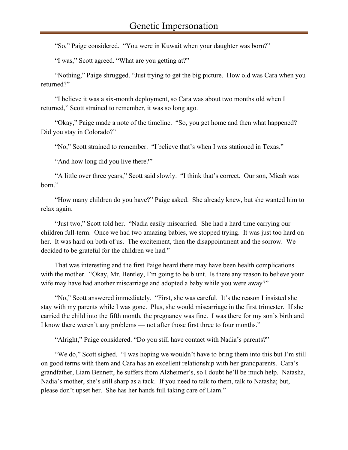"So," Paige considered. "You were in Kuwait when your daughter was born?"

"I was," Scott agreed. "What are you getting at?"

"Nothing," Paige shrugged. "Just trying to get the big picture. How old was Cara when you returned?"

"I believe it was a six-month deployment, so Cara was about two months old when I returned," Scott strained to remember, it was so long ago.

"Okay," Paige made a note of the timeline. "So, you get home and then what happened? Did you stay in Colorado?"

"No," Scott strained to remember. "I believe that's when I was stationed in Texas."

"And how long did you live there?"

"A little over three years," Scott said slowly. "I think that's correct. Our son, Micah was born."

"How many children do you have?" Paige asked. She already knew, but she wanted him to relax again.

"Just two," Scott told her. "Nadia easily miscarried. She had a hard time carrying our children full-term. Once we had two amazing babies, we stopped trying. It was just too hard on her. It was hard on both of us. The excitement, then the disappointment and the sorrow. We decided to be grateful for the children we had."

That was interesting and the first Paige heard there may have been health complications with the mother. "Okay, Mr. Bentley, I'm going to be blunt. Is there any reason to believe your wife may have had another miscarriage and adopted a baby while you were away?"

"No," Scott answered immediately. "First, she was careful. It's the reason I insisted she stay with my parents while I was gone. Plus, she would miscarriage in the first trimester. If she carried the child into the fifth month, the pregnancy was fine. I was there for my son's birth and I know there weren't any problems — not after those first three to four months."

"Alright," Paige considered. "Do you still have contact with Nadia's parents?"

"We do," Scott sighed. "I was hoping we wouldn't have to bring them into this but I'm still on good terms with them and Cara has an excellent relationship with her grandparents. Cara's grandfather, Liam Bennett, he suffers from Alzheimer's, so I doubt he'll be much help. Natasha, Nadia's mother, she's still sharp as a tack. If you need to talk to them, talk to Natasha; but, please don't upset her. She has her hands full taking care of Liam."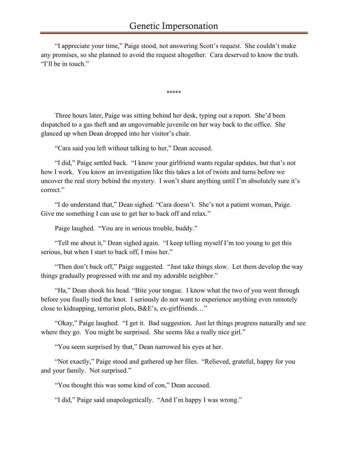"I appreciate your time," Paige stood, not answering Scott's request. She couldn't make any promises, so she planned to avoid the request altogether. Cara deserved to know the truth. "I'll be in touch."

\*\*\*\*\*

Three hours later, Paige was sitting behind her desk, typing out a report. She'd been dispatched to a gas theft and an ungovernable juvenile on her way back to the office. She glanced up when Dean dropped into her visitor's chair.

"Cara said you left without talking to her," Dean accused.

"I did," Paige settled back. "I know your girlfriend wants regular updates, but that's not how I work. You know an investigation like this takes a lot of twists and turns before we uncover the real story behind the mystery. I won't share anything until I'm absolutely sure it's correct."

"I do understand that," Dean sighed. "Cara doesn't. She's not a patient woman, Paige. Give me something I can use to get her to back off and relax."

Paige laughed. "You are in serious trouble, buddy."

"Tell me about it," Dean sighed again. "I keep telling myself I'm too young to get this serious, but when I start to back off, I miss her."

"Then don't back off," Paige suggested. "Just take things slow. Let them develop the way things gradually progressed with me and my adorable neighbor."

"Ha," Dean shook his head. "Bite your tongue. I know what the two of you went through before you finally tied the knot. I seriously do not want to experience anything even remotely close to kidnapping, terrorist plots, B&E's, ex-girlfriends…"

"Okay," Paige laughed. "I get it. Bad suggestion. Just let things progress naturally and see where they go. You might be surprised. She seems like a really nice girl."

"You seem surprised by that," Dean narrowed his eyes at her.

"Not exactly," Paige stood and gathered up her files. "Relieved, grateful, happy for you and your family. Not surprised."

"You thought this was some kind of con," Dean accused.

"I did," Paige said unapologetically. "And I'm happy I was wrong."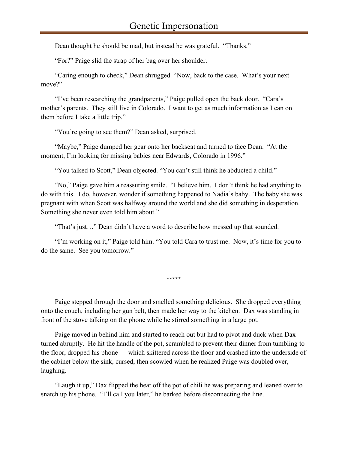Dean thought he should be mad, but instead he was grateful. "Thanks."

"For?" Paige slid the strap of her bag over her shoulder.

"Caring enough to check," Dean shrugged. "Now, back to the case. What's your next move?"

"I've been researching the grandparents," Paige pulled open the back door. "Cara's mother's parents. They still live in Colorado. I want to get as much information as I can on them before I take a little trip."

"You're going to see them?" Dean asked, surprised.

"Maybe," Paige dumped her gear onto her backseat and turned to face Dean. "At the moment, I'm looking for missing babies near Edwards, Colorado in 1996."

"You talked to Scott," Dean objected. "You can't still think he abducted a child."

"No," Paige gave him a reassuring smile. "I believe him. I don't think he had anything to do with this. I do, however, wonder if something happened to Nadia's baby. The baby she was pregnant with when Scott was halfway around the world and she did something in desperation. Something she never even told him about."

"That's just…" Dean didn't have a word to describe how messed up that sounded.

"I'm working on it," Paige told him. "You told Cara to trust me. Now, it's time for you to do the same. See you tomorrow."

\*\*\*\*\*

Paige stepped through the door and smelled something delicious. She dropped everything onto the couch, including her gun belt, then made her way to the kitchen. Dax was standing in front of the stove talking on the phone while he stirred something in a large pot.

Paige moved in behind him and started to reach out but had to pivot and duck when Dax turned abruptly. He hit the handle of the pot, scrambled to prevent their dinner from tumbling to the floor, dropped his phone — which skittered across the floor and crashed into the underside of the cabinet below the sink, cursed, then scowled when he realized Paige was doubled over, laughing.

"Laugh it up," Dax flipped the heat off the pot of chili he was preparing and leaned over to snatch up his phone. "I'll call you later," he barked before disconnecting the line.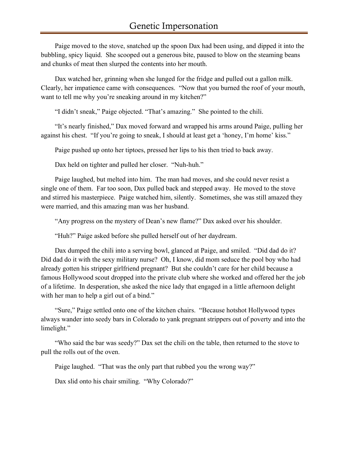Paige moved to the stove, snatched up the spoon Dax had been using, and dipped it into the bubbling, spicy liquid. She scooped out a generous bite, paused to blow on the steaming beans and chunks of meat then slurped the contents into her mouth.

Dax watched her, grinning when she lunged for the fridge and pulled out a gallon milk. Clearly, her impatience came with consequences. "Now that you burned the roof of your mouth, want to tell me why you're sneaking around in my kitchen?"

"I didn't sneak," Paige objected. "That's amazing." She pointed to the chili.

"It's nearly finished," Dax moved forward and wrapped his arms around Paige, pulling her against his chest. "If you're going to sneak, I should at least get a 'honey, I'm home' kiss."

Paige pushed up onto her tiptoes, pressed her lips to his then tried to back away.

Dax held on tighter and pulled her closer. "Nuh-huh."

Paige laughed, but melted into him. The man had moves, and she could never resist a single one of them. Far too soon, Dax pulled back and stepped away. He moved to the stove and stirred his masterpiece. Paige watched him, silently. Sometimes, she was still amazed they were married, and this amazing man was her husband.

"Any progress on the mystery of Dean's new flame?" Dax asked over his shoulder.

"Huh?" Paige asked before she pulled herself out of her daydream.

Dax dumped the chili into a serving bowl, glanced at Paige, and smiled. "Did dad do it? Did dad do it with the sexy military nurse? Oh, I know, did mom seduce the pool boy who had already gotten his stripper girlfriend pregnant? But she couldn't care for her child because a famous Hollywood scout dropped into the private club where she worked and offered her the job of a lifetime. In desperation, she asked the nice lady that engaged in a little afternoon delight with her man to help a girl out of a bind."

"Sure," Paige settled onto one of the kitchen chairs. "Because hotshot Hollywood types always wander into seedy bars in Colorado to yank pregnant strippers out of poverty and into the limelight."

"Who said the bar was seedy?" Dax set the chili on the table, then returned to the stove to pull the rolls out of the oven.

Paige laughed. "That was the only part that rubbed you the wrong way?"

Dax slid onto his chair smiling. "Why Colorado?"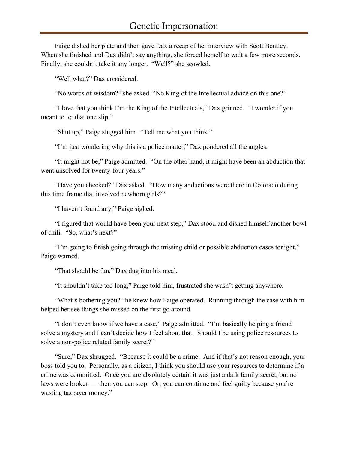Paige dished her plate and then gave Dax a recap of her interview with Scott Bentley. When she finished and Dax didn't say anything, she forced herself to wait a few more seconds. Finally, she couldn't take it any longer. "Well?" she scowled.

"Well what?" Dax considered.

"No words of wisdom?" she asked. "No King of the Intellectual advice on this one?"

"I love that you think I'm the King of the Intellectuals," Dax grinned. "I wonder if you meant to let that one slip."

"Shut up," Paige slugged him. "Tell me what you think."

"I'm just wondering why this is a police matter," Dax pondered all the angles.

"It might not be," Paige admitted. "On the other hand, it might have been an abduction that went unsolved for twenty-four years."

"Have you checked?" Dax asked. "How many abductions were there in Colorado during this time frame that involved newborn girls?"

"I haven't found any," Paige sighed.

"I figured that would have been your next step," Dax stood and dished himself another bowl of chili. "So, what's next?"

"I'm going to finish going through the missing child or possible abduction cases tonight," Paige warned.

"That should be fun," Dax dug into his meal.

"It shouldn't take too long," Paige told him, frustrated she wasn't getting anywhere.

"What's bothering you?" he knew how Paige operated. Running through the case with him helped her see things she missed on the first go around.

"I don't even know if we have a case," Paige admitted. "I'm basically helping a friend solve a mystery and I can't decide how I feel about that. Should I be using police resources to solve a non-police related family secret?"

"Sure," Dax shrugged. "Because it could be a crime. And if that's not reason enough, your boss told you to. Personally, as a citizen, I think you should use your resources to determine if a crime was committed. Once you are absolutely certain it was just a dark family secret, but no laws were broken — then you can stop. Or, you can continue and feel guilty because you're wasting taxpayer money."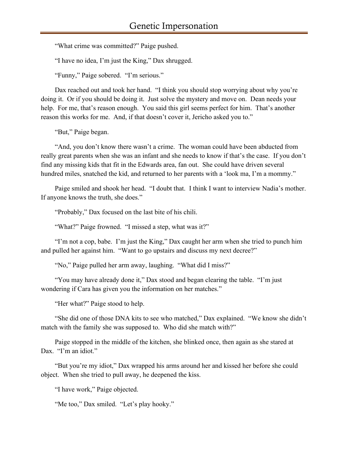"What crime was committed?" Paige pushed.

"I have no idea, I'm just the King," Dax shrugged.

"Funny," Paige sobered. "I'm serious."

Dax reached out and took her hand. "I think you should stop worrying about why you're doing it. Or if you should be doing it. Just solve the mystery and move on. Dean needs your help. For me, that's reason enough. You said this girl seems perfect for him. That's another reason this works for me. And, if that doesn't cover it, Jericho asked you to."

"But," Paige began.

"And, you don't know there wasn't a crime. The woman could have been abducted from really great parents when she was an infant and she needs to know if that's the case. If you don't find any missing kids that fit in the Edwards area, fan out. She could have driven several hundred miles, snatched the kid, and returned to her parents with a 'look ma, I'm a mommy."

Paige smiled and shook her head. "I doubt that. I think I want to interview Nadia's mother. If anyone knows the truth, she does."

"Probably," Dax focused on the last bite of his chili.

"What?" Paige frowned. "I missed a step, what was it?"

"I'm not a cop, babe. I'm just the King," Dax caught her arm when she tried to punch him and pulled her against him. "Want to go upstairs and discuss my next decree?"

"No," Paige pulled her arm away, laughing. "What did I miss?"

"You may have already done it," Dax stood and began clearing the table. "I'm just wondering if Cara has given you the information on her matches."

"Her what?" Paige stood to help.

"She did one of those DNA kits to see who matched," Dax explained. "We know she didn't match with the family she was supposed to. Who did she match with?"

Paige stopped in the middle of the kitchen, she blinked once, then again as she stared at Dax. "I'm an idiot."

"But you're my idiot," Dax wrapped his arms around her and kissed her before she could object. When she tried to pull away, he deepened the kiss.

"I have work," Paige objected.

"Me too," Dax smiled. "Let's play hooky."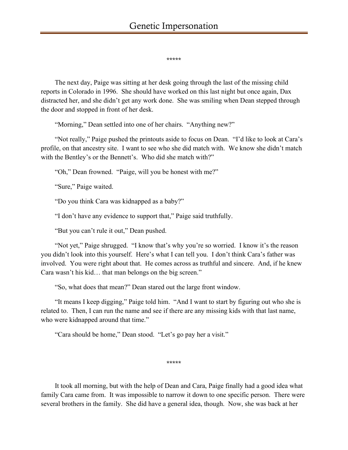\*\*\*\*\*

The next day, Paige was sitting at her desk going through the last of the missing child reports in Colorado in 1996. She should have worked on this last night but once again, Dax distracted her, and she didn't get any work done. She was smiling when Dean stepped through the door and stopped in front of her desk.

"Morning," Dean settled into one of her chairs. "Anything new?"

"Not really," Paige pushed the printouts aside to focus on Dean. "I'd like to look at Cara's profile, on that ancestry site. I want to see who she did match with. We know she didn't match with the Bentley's or the Bennett's. Who did she match with?"

"Oh," Dean frowned. "Paige, will you be honest with me?"

"Sure," Paige waited.

"Do you think Cara was kidnapped as a baby?"

"I don't have any evidence to support that," Paige said truthfully.

"But you can't rule it out," Dean pushed.

"Not yet," Paige shrugged. "I know that's why you're so worried. I know it's the reason you didn't look into this yourself. Here's what I can tell you. I don't think Cara's father was involved. You were right about that. He comes across as truthful and sincere. And, if he knew Cara wasn't his kid… that man belongs on the big screen."

"So, what does that mean?" Dean stared out the large front window.

"It means I keep digging," Paige told him. "And I want to start by figuring out who she is related to. Then, I can run the name and see if there are any missing kids with that last name, who were kidnapped around that time."

"Cara should be home," Dean stood. "Let's go pay her a visit."

\*\*\*\*\*

It took all morning, but with the help of Dean and Cara, Paige finally had a good idea what family Cara came from. It was impossible to narrow it down to one specific person. There were several brothers in the family. She did have a general idea, though. Now, she was back at her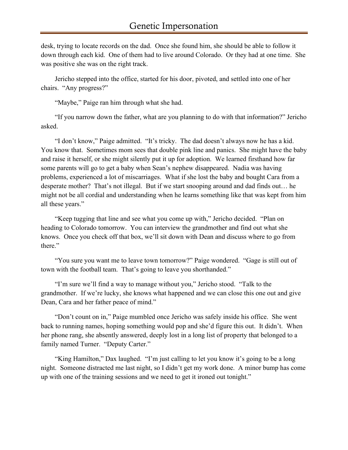desk, trying to locate records on the dad. Once she found him, she should be able to follow it down through each kid. One of them had to live around Colorado. Or they had at one time. She was positive she was on the right track.

Jericho stepped into the office, started for his door, pivoted, and settled into one of her chairs. "Any progress?"

"Maybe," Paige ran him through what she had.

"If you narrow down the father, what are you planning to do with that information?" Jericho asked.

"I don't know," Paige admitted. "It's tricky. The dad doesn't always now he has a kid. You know that. Sometimes mom sees that double pink line and panics. She might have the baby and raise it herself, or she might silently put it up for adoption. We learned firsthand how far some parents will go to get a baby when Sean's nephew disappeared. Nadia was having problems, experienced a lot of miscarriages. What if she lost the baby and bought Cara from a desperate mother? That's not illegal. But if we start snooping around and dad finds out… he might not be all cordial and understanding when he learns something like that was kept from him all these years."

"Keep tugging that line and see what you come up with," Jericho decided. "Plan on heading to Colorado tomorrow. You can interview the grandmother and find out what she knows. Once you check off that box, we'll sit down with Dean and discuss where to go from there."

"You sure you want me to leave town tomorrow?" Paige wondered. "Gage is still out of town with the football team. That's going to leave you shorthanded."

"I'm sure we'll find a way to manage without you," Jericho stood. "Talk to the grandmother. If we're lucky, she knows what happened and we can close this one out and give Dean, Cara and her father peace of mind."

"Don't count on in," Paige mumbled once Jericho was safely inside his office. She went back to running names, hoping something would pop and she'd figure this out. It didn't. When her phone rang, she absently answered, deeply lost in a long list of property that belonged to a family named Turner. "Deputy Carter."

"King Hamilton," Dax laughed. "I'm just calling to let you know it's going to be a long night. Someone distracted me last night, so I didn't get my work done. A minor bump has come up with one of the training sessions and we need to get it ironed out tonight."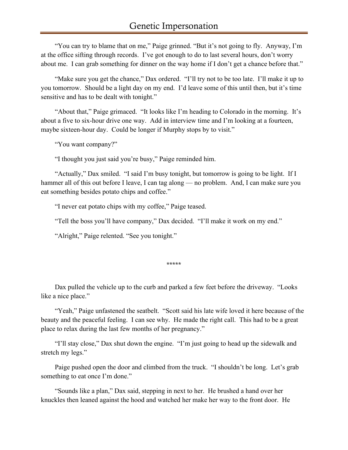"You can try to blame that on me," Paige grinned. "But it's not going to fly. Anyway, I'm at the office sifting through records. I've got enough to do to last several hours, don't worry about me. I can grab something for dinner on the way home if I don't get a chance before that."

"Make sure you get the chance," Dax ordered. "I'll try not to be too late. I'll make it up to you tomorrow. Should be a light day on my end. I'd leave some of this until then, but it's time sensitive and has to be dealt with tonight."

"About that," Paige grimaced. "It looks like I'm heading to Colorado in the morning. It's about a five to six-hour drive one way. Add in interview time and I'm looking at a fourteen, maybe sixteen-hour day. Could be longer if Murphy stops by to visit."

"You want company?"

"I thought you just said you're busy," Paige reminded him.

"Actually," Dax smiled. "I said I'm busy tonight, but tomorrow is going to be light. If I hammer all of this out before I leave, I can tag along — no problem. And, I can make sure you eat something besides potato chips and coffee."

"I never eat potato chips with my coffee," Paige teased.

"Tell the boss you'll have company," Dax decided. "I'll make it work on my end."

"Alright," Paige relented. "See you tonight."

\*\*\*\*\*

Dax pulled the vehicle up to the curb and parked a few feet before the driveway. "Looks like a nice place."

"Yeah," Paige unfastened the seatbelt. "Scott said his late wife loved it here because of the beauty and the peaceful feeling. I can see why. He made the right call. This had to be a great place to relax during the last few months of her pregnancy."

"I'll stay close," Dax shut down the engine. "I'm just going to head up the sidewalk and stretch my legs."

Paige pushed open the door and climbed from the truck. "I shouldn't be long. Let's grab something to eat once I'm done."

"Sounds like a plan," Dax said, stepping in next to her. He brushed a hand over her knuckles then leaned against the hood and watched her make her way to the front door. He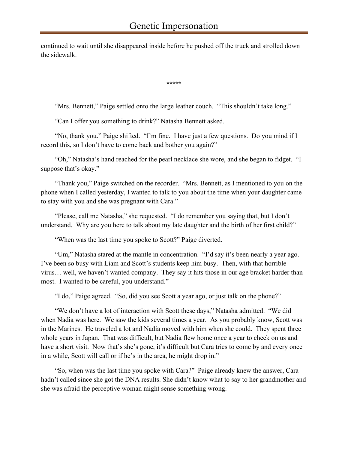continued to wait until she disappeared inside before he pushed off the truck and strolled down the sidewalk.

\*\*\*\*\*

"Mrs. Bennett," Paige settled onto the large leather couch. "This shouldn't take long."

"Can I offer you something to drink?" Natasha Bennett asked.

"No, thank you." Paige shifted. "I'm fine. I have just a few questions. Do you mind if I record this, so I don't have to come back and bother you again?"

"Oh," Natasha's hand reached for the pearl necklace she wore, and she began to fidget. "I suppose that's okay."

"Thank you," Paige switched on the recorder. "Mrs. Bennett, as I mentioned to you on the phone when I called yesterday, I wanted to talk to you about the time when your daughter came to stay with you and she was pregnant with Cara."

"Please, call me Natasha," she requested. "I do remember you saying that, but I don't understand. Why are you here to talk about my late daughter and the birth of her first child?"

"When was the last time you spoke to Scott?" Paige diverted.

"Um," Natasha stared at the mantle in concentration. "I'd say it's been nearly a year ago. I've been so busy with Liam and Scott's students keep him busy. Then, with that horrible virus… well, we haven't wanted company. They say it hits those in our age bracket harder than most. I wanted to be careful, you understand."

"I do," Paige agreed. "So, did you see Scott a year ago, or just talk on the phone?"

"We don't have a lot of interaction with Scott these days," Natasha admitted. "We did when Nadia was here. We saw the kids several times a year. As you probably know, Scott was in the Marines. He traveled a lot and Nadia moved with him when she could. They spent three whole years in Japan. That was difficult, but Nadia flew home once a year to check on us and have a short visit. Now that's she's gone, it's difficult but Cara tries to come by and every once in a while, Scott will call or if he's in the area, he might drop in."

"So, when was the last time you spoke with Cara?" Paige already knew the answer, Cara hadn't called since she got the DNA results. She didn't know what to say to her grandmother and she was afraid the perceptive woman might sense something wrong.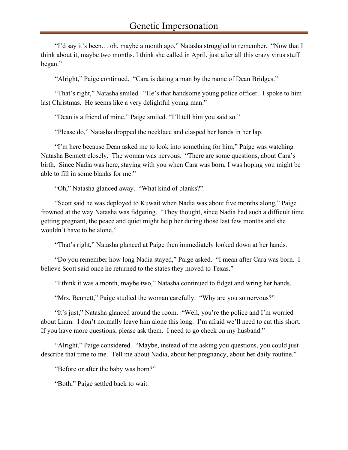"I'd say it's been… oh, maybe a month ago," Natasha struggled to remember. "Now that I think about it, maybe two months. I think she called in April, just after all this crazy virus stuff began."

"Alright," Paige continued. "Cara is dating a man by the name of Dean Bridges."

"That's right," Natasha smiled. "He's that handsome young police officer. I spoke to him last Christmas. He seems like a very delightful young man."

"Dean is a friend of mine," Paige smiled. "I'll tell him you said so."

"Please do," Natasha dropped the necklace and clasped her hands in her lap.

"I'm here because Dean asked me to look into something for him," Paige was watching Natasha Bennett closely. The woman was nervous. "There are some questions, about Cara's birth. Since Nadia was here, staying with you when Cara was born, I was hoping you might be able to fill in some blanks for me."

"Oh," Natasha glanced away. "What kind of blanks?"

"Scott said he was deployed to Kuwait when Nadia was about five months along," Paige frowned at the way Natasha was fidgeting. "They thought, since Nadia had such a difficult time getting pregnant, the peace and quiet might help her during those last few months and she wouldn't have to be alone."

"That's right," Natasha glanced at Paige then immediately looked down at her hands.

"Do you remember how long Nadia stayed," Paige asked. "I mean after Cara was born. I believe Scott said once he returned to the states they moved to Texas."

"I think it was a month, maybe two," Natasha continued to fidget and wring her hands.

"Mrs. Bennett," Paige studied the woman carefully. "Why are you so nervous?"

"It's just," Natasha glanced around the room. "Well, you're the police and I'm worried about Liam. I don't normally leave him alone this long. I'm afraid we'll need to cut this short. If you have more questions, please ask them. I need to go check on my husband."

"Alright," Paige considered. "Maybe, instead of me asking you questions, you could just describe that time to me. Tell me about Nadia, about her pregnancy, about her daily routine."

"Before or after the baby was born?"

"Both," Paige settled back to wait.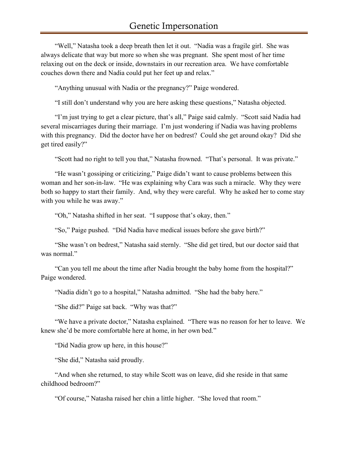"Well," Natasha took a deep breath then let it out. "Nadia was a fragile girl. She was always delicate that way but more so when she was pregnant. She spent most of her time relaxing out on the deck or inside, downstairs in our recreation area. We have comfortable couches down there and Nadia could put her feet up and relax."

"Anything unusual with Nadia or the pregnancy?" Paige wondered.

"I still don't understand why you are here asking these questions," Natasha objected.

"I'm just trying to get a clear picture, that's all," Paige said calmly. "Scott said Nadia had several miscarriages during their marriage. I'm just wondering if Nadia was having problems with this pregnancy. Did the doctor have her on bedrest? Could she get around okay? Did she get tired easily?"

"Scott had no right to tell you that," Natasha frowned. "That's personal. It was private."

"He wasn't gossiping or criticizing," Paige didn't want to cause problems between this woman and her son-in-law. "He was explaining why Cara was such a miracle. Why they were both so happy to start their family. And, why they were careful. Why he asked her to come stay with you while he was away."

"Oh," Natasha shifted in her seat. "I suppose that's okay, then."

"So," Paige pushed. "Did Nadia have medical issues before she gave birth?"

"She wasn't on bedrest," Natasha said sternly. "She did get tired, but our doctor said that was normal."

"Can you tell me about the time after Nadia brought the baby home from the hospital?" Paige wondered.

"Nadia didn't go to a hospital," Natasha admitted. "She had the baby here."

"She did?" Paige sat back. "Why was that?"

"We have a private doctor," Natasha explained. "There was no reason for her to leave. We knew she'd be more comfortable here at home, in her own bed."

"Did Nadia grow up here, in this house?"

"She did," Natasha said proudly.

"And when she returned, to stay while Scott was on leave, did she reside in that same childhood bedroom?"

"Of course," Natasha raised her chin a little higher. "She loved that room."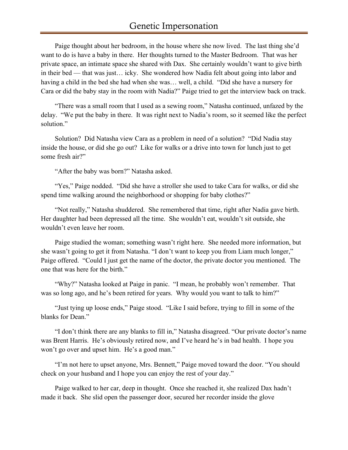## Genetic Impersonation

Paige thought about her bedroom, in the house where she now lived. The last thing she'd want to do is have a baby in there. Her thoughts turned to the Master Bedroom. That was her private space, an intimate space she shared with Dax. She certainly wouldn't want to give birth in their bed — that was just… icky. She wondered how Nadia felt about going into labor and having a child in the bed she had when she was… well, a child. "Did she have a nursery for Cara or did the baby stay in the room with Nadia?" Paige tried to get the interview back on track.

"There was a small room that I used as a sewing room," Natasha continued, unfazed by the delay. "We put the baby in there. It was right next to Nadia's room, so it seemed like the perfect solution."

Solution? Did Natasha view Cara as a problem in need of a solution? "Did Nadia stay inside the house, or did she go out? Like for walks or a drive into town for lunch just to get some fresh air?"

"After the baby was born?" Natasha asked.

"Yes," Paige nodded. "Did she have a stroller she used to take Cara for walks, or did she spend time walking around the neighborhood or shopping for baby clothes?"

"Not really," Natasha shuddered. She remembered that time, right after Nadia gave birth. Her daughter had been depressed all the time. She wouldn't eat, wouldn't sit outside, she wouldn't even leave her room.

Paige studied the woman; something wasn't right here. She needed more information, but she wasn't going to get it from Natasha. "I don't want to keep you from Liam much longer," Paige offered. "Could I just get the name of the doctor, the private doctor you mentioned. The one that was here for the birth."

"Why?" Natasha looked at Paige in panic. "I mean, he probably won't remember. That was so long ago, and he's been retired for years. Why would you want to talk to him?"

"Just tying up loose ends," Paige stood. "Like I said before, trying to fill in some of the blanks for Dean."

"I don't think there are any blanks to fill in," Natasha disagreed. "Our private doctor's name was Brent Harris. He's obviously retired now, and I've heard he's in bad health. I hope you won't go over and upset him. He's a good man."

"I'm not here to upset anyone, Mrs. Bennett," Paige moved toward the door. "You should check on your husband and I hope you can enjoy the rest of your day."

Paige walked to her car, deep in thought. Once she reached it, she realized Dax hadn't made it back. She slid open the passenger door, secured her recorder inside the glove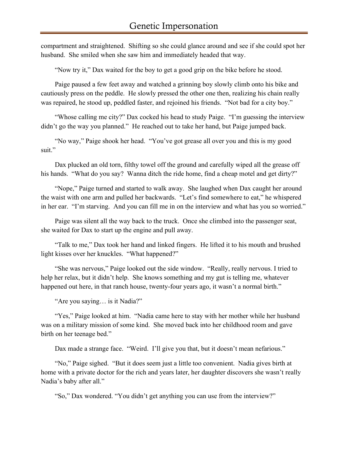compartment and straightened. Shifting so she could glance around and see if she could spot her husband. She smiled when she saw him and immediately headed that way.

"Now try it," Dax waited for the boy to get a good grip on the bike before he stood.

Paige paused a few feet away and watched a grinning boy slowly climb onto his bike and cautiously press on the peddle. He slowly pressed the other one then, realizing his chain really was repaired, he stood up, peddled faster, and rejoined his friends. "Not bad for a city boy."

"Whose calling me city?" Dax cocked his head to study Paige. "I'm guessing the interview didn't go the way you planned." He reached out to take her hand, but Paige jumped back.

"No way," Paige shook her head. "You've got grease all over you and this is my good suit."

Dax plucked an old torn, filthy towel off the ground and carefully wiped all the grease off his hands. "What do you say? Wanna ditch the ride home, find a cheap motel and get dirty?"

"Nope," Paige turned and started to walk away. She laughed when Dax caught her around the waist with one arm and pulled her backwards. "Let's find somewhere to eat," he whispered in her ear. "I'm starving. And you can fill me in on the interview and what has you so worried."

Paige was silent all the way back to the truck. Once she climbed into the passenger seat, she waited for Dax to start up the engine and pull away.

"Talk to me," Dax took her hand and linked fingers. He lifted it to his mouth and brushed light kisses over her knuckles. "What happened?"

"She was nervous," Paige looked out the side window. "Really, really nervous. I tried to help her relax, but it didn't help. She knows something and my gut is telling me, whatever happened out here, in that ranch house, twenty-four years ago, it wasn't a normal birth."

"Are you saying… is it Nadia?"

"Yes," Paige looked at him. "Nadia came here to stay with her mother while her husband was on a military mission of some kind. She moved back into her childhood room and gave birth on her teenage bed."

Dax made a strange face. "Weird. I'll give you that, but it doesn't mean nefarious."

"No," Paige sighed. "But it does seem just a little too convenient. Nadia gives birth at home with a private doctor for the rich and years later, her daughter discovers she wasn't really Nadia's baby after all."

"So," Dax wondered. "You didn't get anything you can use from the interview?"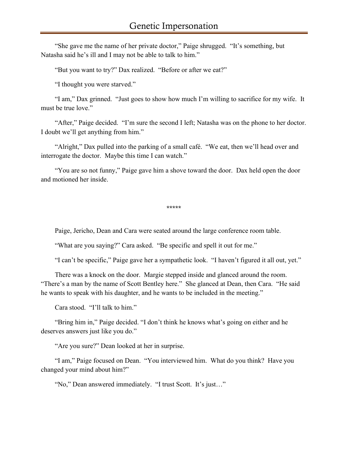"She gave me the name of her private doctor," Paige shrugged. "It's something, but Natasha said he's ill and I may not be able to talk to him."

"But you want to try?" Dax realized. "Before or after we eat?"

"I thought you were starved."

"I am," Dax grinned. "Just goes to show how much I'm willing to sacrifice for my wife. It must be true love."

"After," Paige decided. "I'm sure the second I left; Natasha was on the phone to her doctor. I doubt we'll get anything from him."

"Alright," Dax pulled into the parking of a small café. "We eat, then we'll head over and interrogate the doctor. Maybe this time I can watch."

"You are so not funny," Paige gave him a shove toward the door. Dax held open the door and motioned her inside.

\*\*\*\*\*

Paige, Jericho, Dean and Cara were seated around the large conference room table.

"What are you saying?" Cara asked. "Be specific and spell it out for me."

"I can't be specific," Paige gave her a sympathetic look. "I haven't figured it all out, yet."

There was a knock on the door. Margie stepped inside and glanced around the room. "There's a man by the name of Scott Bentley here." She glanced at Dean, then Cara. "He said he wants to speak with his daughter, and he wants to be included in the meeting."

Cara stood. "I'll talk to him."

"Bring him in," Paige decided. "I don't think he knows what's going on either and he deserves answers just like you do."

"Are you sure?" Dean looked at her in surprise.

"I am," Paige focused on Dean. "You interviewed him. What do you think? Have you changed your mind about him?"

"No," Dean answered immediately. "I trust Scott. It's just…"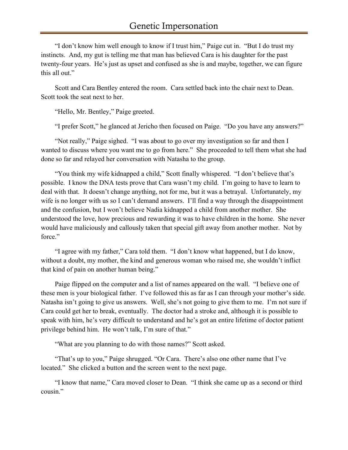"I don't know him well enough to know if I trust him," Paige cut in. "But I do trust my instincts. And, my gut is telling me that man has believed Cara is his daughter for the past twenty-four years. He's just as upset and confused as she is and maybe, together, we can figure this all out."

Scott and Cara Bentley entered the room. Cara settled back into the chair next to Dean. Scott took the seat next to her.

"Hello, Mr. Bentley," Paige greeted.

"I prefer Scott," he glanced at Jericho then focused on Paige. "Do you have any answers?"

"Not really," Paige sighed. "I was about to go over my investigation so far and then I wanted to discuss where you want me to go from here." She proceeded to tell them what she had done so far and relayed her conversation with Natasha to the group.

"You think my wife kidnapped a child," Scott finally whispered. "I don't believe that's possible. I know the DNA tests prove that Cara wasn't my child. I'm going to have to learn to deal with that. It doesn't change anything, not for me, but it was a betrayal. Unfortunately, my wife is no longer with us so I can't demand answers. I'll find a way through the disappointment and the confusion, but I won't believe Nadia kidnapped a child from another mother. She understood the love, how precious and rewarding it was to have children in the home. She never would have maliciously and callously taken that special gift away from another mother. Not by force."

"I agree with my father," Cara told them. "I don't know what happened, but I do know, without a doubt, my mother, the kind and generous woman who raised me, she wouldn't inflict that kind of pain on another human being."

Paige flipped on the computer and a list of names appeared on the wall. "I believe one of these men is your biological father. I've followed this as far as I can through your mother's side. Natasha isn't going to give us answers. Well, she's not going to give them to me. I'm not sure if Cara could get her to break, eventually. The doctor had a stroke and, although it is possible to speak with him, he's very difficult to understand and he's got an entire lifetime of doctor patient privilege behind him. He won't talk, I'm sure of that."

"What are you planning to do with those names?" Scott asked.

"That's up to you," Paige shrugged. "Or Cara. There's also one other name that I've located." She clicked a button and the screen went to the next page.

"I know that name," Cara moved closer to Dean. "I think she came up as a second or third cousin."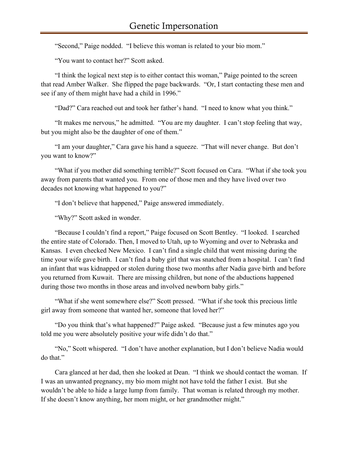"Second," Paige nodded. "I believe this woman is related to your bio mom."

"You want to contact her?" Scott asked.

"I think the logical next step is to either contact this woman," Paige pointed to the screen that read Amber Walker. She flipped the page backwards. "Or, I start contacting these men and see if any of them might have had a child in 1996."

"Dad?" Cara reached out and took her father's hand. "I need to know what you think."

"It makes me nervous," he admitted. "You are my daughter. I can't stop feeling that way, but you might also be the daughter of one of them."

"I am your daughter," Cara gave his hand a squeeze. "That will never change. But don't you want to know?"

"What if you mother did something terrible?" Scott focused on Cara. "What if she took you away from parents that wanted you. From one of those men and they have lived over two decades not knowing what happened to you?"

"I don't believe that happened," Paige answered immediately.

"Why?" Scott asked in wonder.

"Because I couldn't find a report," Paige focused on Scott Bentley. "I looked. I searched the entire state of Colorado. Then, I moved to Utah, up to Wyoming and over to Nebraska and Kansas. I even checked New Mexico. I can't find a single child that went missing during the time your wife gave birth. I can't find a baby girl that was snatched from a hospital. I can't find an infant that was kidnapped or stolen during those two months after Nadia gave birth and before you returned from Kuwait. There are missing children, but none of the abductions happened during those two months in those areas and involved newborn baby girls."

"What if she went somewhere else?" Scott pressed. "What if she took this precious little girl away from someone that wanted her, someone that loved her?"

"Do you think that's what happened?" Paige asked. "Because just a few minutes ago you told me you were absolutely positive your wife didn't do that."

"No," Scott whispered. "I don't have another explanation, but I don't believe Nadia would do that."

Cara glanced at her dad, then she looked at Dean. "I think we should contact the woman. If I was an unwanted pregnancy, my bio mom might not have told the father I exist. But she wouldn't be able to hide a large lump from family. That woman is related through my mother. If she doesn't know anything, her mom might, or her grandmother might."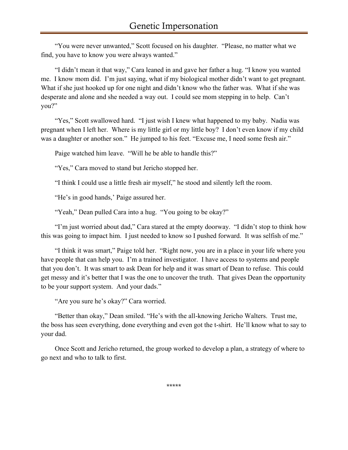"You were never unwanted," Scott focused on his daughter. "Please, no matter what we find, you have to know you were always wanted."

"I didn't mean it that way," Cara leaned in and gave her father a hug. "I know you wanted me. I know mom did. I'm just saying, what if my biological mother didn't want to get pregnant. What if she just hooked up for one night and didn't know who the father was. What if she was desperate and alone and she needed a way out. I could see mom stepping in to help. Can't you?"

"Yes," Scott swallowed hard. "I just wish I knew what happened to my baby. Nadia was pregnant when I left her. Where is my little girl or my little boy? I don't even know if my child was a daughter or another son." He jumped to his feet. "Excuse me, I need some fresh air."

Paige watched him leave. "Will he be able to handle this?"

"Yes," Cara moved to stand but Jericho stopped her.

"I think I could use a little fresh air myself," he stood and silently left the room.

"He's in good hands,' Paige assured her.

"Yeah," Dean pulled Cara into a hug. "You going to be okay?"

"I'm just worried about dad," Cara stared at the empty doorway. "I didn't stop to think how this was going to impact him. I just needed to know so I pushed forward. It was selfish of me."

"I think it was smart," Paige told her. "Right now, you are in a place in your life where you have people that can help you. I'm a trained investigator. I have access to systems and people that you don't. It was smart to ask Dean for help and it was smart of Dean to refuse. This could get messy and it's better that I was the one to uncover the truth. That gives Dean the opportunity to be your support system. And your dads."

"Are you sure he's okay?" Cara worried.

"Better than okay," Dean smiled. "He's with the all-knowing Jericho Walters. Trust me, the boss has seen everything, done everything and even got the t-shirt. He'll know what to say to your dad.

Once Scott and Jericho returned, the group worked to develop a plan, a strategy of where to go next and who to talk to first.

\*\*\*\*\*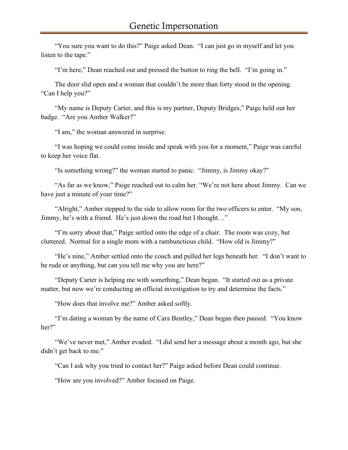"You sure you want to do this?" Paige asked Dean. "I can just go in myself and let you listen to the tape."

"I'm here," Dean reached out and pressed the button to ring the bell. "I'm going in."

The door slid open and a woman that couldn't be more than forty stood in the opening. "Can I help you?"

"My name is Deputy Carter, and this is my partner, Deputy Bridges," Paige held out her badge. "Are you Amber Walker?"

"I am," the woman answered in surprise.

"I was hoping we could come inside and speak with you for a moment," Paige was careful to keep her voice flat.

"Is something wrong?" the woman started to panic. "Jimmy, is Jimmy okay?"

"As far as we know," Paige reached out to calm her. "We're not here about Jimmy. Can we have just a minute of your time?"

"Alright," Amber stepped to the side to allow room for the two officers to enter. "My son, Jimmy, he's with a friend. He's just down the road but I thought…"

"I'm sorry about that," Paige settled onto the edge of a chair. The room was cozy, but cluttered. Normal for a single mom with a rambunctious child. "How old is Jimmy?"

"He's nine," Amber settled onto the couch and pulled her legs beneath her. "I don't want to be rude or anything, but can you tell me why you are here?"

"Deputy Carter is helping me with something," Dean began. "It started out as a private matter, but now we're conducting an official investigation to try and determine the facts."

"How does that involve me?" Amber asked softly.

"I'm dating a woman by the name of Cara Bentley," Dean began then paused. "You know her?"

"We've never met," Amber evaded. "I did send her a message about a month ago, but she didn't get back to me."

"Can I ask why you tried to contact her?" Paige asked before Dean could continue.

"How are you involved?" Amber focused on Paige.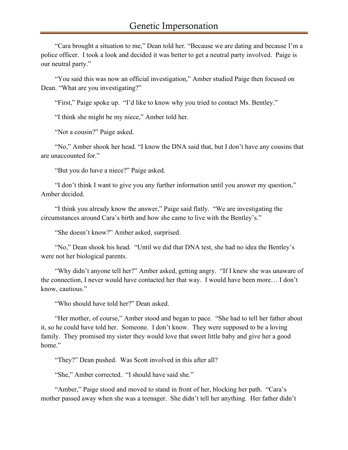"Cara brought a situation to me," Dean told her. "Because we are dating and because I'm a police officer. I took a look and decided it was better to get a neutral party involved. Paige is our neutral party."

"You said this was now an official investigation," Amber studied Paige then focused on Dean. "What are you investigating?"

"First," Paige spoke up. "I'd like to know why you tried to contact Ms. Bentley."

"I think she might be my niece," Amber told her.

"Not a cousin?" Paige asked.

"No," Amber shook her head. "I know the DNA said that, but I don't have any cousins that are unaccounted for."

"But you do have a niece?" Paige asked.

"I don't think I want to give you any further information until you answer my question," Amber decided.

"I think you already know the answer," Paige said flatly. "We are investigating the circumstances around Cara's birth and how she came to live with the Bentley's."

"She doesn't know?" Amber asked, surprised.

"No," Dean shook his head. "Until we did that DNA test, she had no idea the Bentley's were not her biological parents.

"Why didn't anyone tell her?" Amber asked, getting angry. "If I knew she was unaware of the connection, I never would have contacted her that way. I would have been more… I don't know, cautious."

"Who should have told her?" Dean asked.

"Her mother, of course," Amber stood and began to pace. "She had to tell her father about it, so he could have told her. Someone. I don't know. They were supposed to be a loving family. They promised my sister they would love that sweet little baby and give her a good home."

"They?" Dean pushed. Was Scott involved in this after all?

"She," Amber corrected. "I should have said she."

"Amber," Paige stood and moved to stand in front of her, blocking her path. "Cara's mother passed away when she was a teenager. She didn't tell her anything. Her father didn't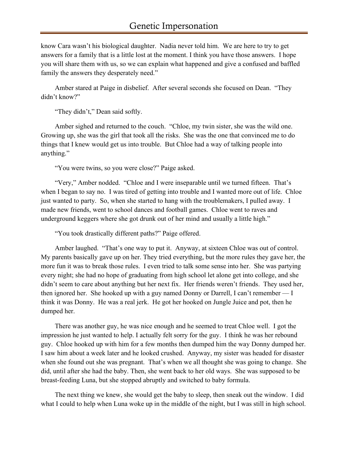know Cara wasn't his biological daughter. Nadia never told him. We are here to try to get answers for a family that is a little lost at the moment. I think you have those answers. I hope you will share them with us, so we can explain what happened and give a confused and baffled family the answers they desperately need."

Amber stared at Paige in disbelief. After several seconds she focused on Dean. "They didn't know?"

"They didn't," Dean said softly.

Amber sighed and returned to the couch. "Chloe, my twin sister, she was the wild one. Growing up, she was the girl that took all the risks. She was the one that convinced me to do things that I knew would get us into trouble. But Chloe had a way of talking people into anything."

"You were twins, so you were close?" Paige asked.

"Very," Amber nodded. "Chloe and I were inseparable until we turned fifteen. That's when I began to say no. I was tired of getting into trouble and I wanted more out of life. Chloe just wanted to party. So, when she started to hang with the troublemakers, I pulled away. I made new friends, went to school dances and football games. Chloe went to raves and underground keggers where she got drunk out of her mind and usually a little high."

"You took drastically different paths?" Paige offered.

Amber laughed. "That's one way to put it. Anyway, at sixteen Chloe was out of control. My parents basically gave up on her. They tried everything, but the more rules they gave her, the more fun it was to break those rules. I even tried to talk some sense into her. She was partying every night; she had no hope of graduating from high school let alone get into college, and she didn't seem to care about anything but her next fix. Her friends weren't friends. They used her, then ignored her. She hooked up with a guy named Donny or Darrell, I can't remember — I think it was Donny. He was a real jerk. He got her hooked on Jungle Juice and pot, then he dumped her.

There was another guy, he was nice enough and he seemed to treat Chloe well. I got the impression he just wanted to help. I actually felt sorry for the guy. I think he was her rebound guy. Chloe hooked up with him for a few months then dumped him the way Donny dumped her. I saw him about a week later and he looked crushed. Anyway, my sister was headed for disaster when she found out she was pregnant. That's when we all thought she was going to change. She did, until after she had the baby. Then, she went back to her old ways. She was supposed to be breast-feeding Luna, but she stopped abruptly and switched to baby formula.

The next thing we knew, she would get the baby to sleep, then sneak out the window. I did what I could to help when Luna woke up in the middle of the night, but I was still in high school.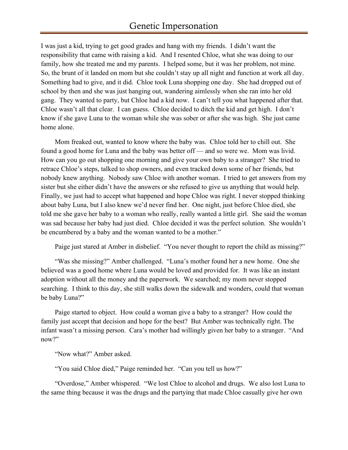I was just a kid, trying to get good grades and hang with my friends. I didn't want the responsibility that came with raising a kid. And I resented Chloe, what she was doing to our family, how she treated me and my parents. I helped some, but it was her problem, not mine. So, the brunt of it landed on mom but she couldn't stay up all night and function at work all day. Something had to give, and it did. Chloe took Luna shopping one day. She had dropped out of school by then and she was just hanging out, wandering aimlessly when she ran into her old gang. They wanted to party, but Chloe had a kid now. I can't tell you what happened after that. Chloe wasn't all that clear. I can guess. Chloe decided to ditch the kid and get high. I don't know if she gave Luna to the woman while she was sober or after she was high. She just came home alone.

Mom freaked out, wanted to know where the baby was. Chloe told her to chill out. She found a good home for Luna and the baby was better off — and so were we. Mom was livid. How can you go out shopping one morning and give your own baby to a stranger? She tried to retrace Chloe's steps, talked to shop owners, and even tracked down some of her friends, but nobody knew anything. Nobody saw Chloe with another woman. I tried to get answers from my sister but she either didn't have the answers or she refused to give us anything that would help. Finally, we just had to accept what happened and hope Chloe was right. I never stopped thinking about baby Luna, but I also knew we'd never find her. One night, just before Chloe died, she told me she gave her baby to a woman who really, really wanted a little girl. She said the woman was sad because her baby had just died. Chloe decided it was the perfect solution. She wouldn't be encumbered by a baby and the woman wanted to be a mother."

Paige just stared at Amber in disbelief. "You never thought to report the child as missing?"

"Was she missing?" Amber challenged. "Luna's mother found her a new home. One she believed was a good home where Luna would be loved and provided for. It was like an instant adoption without all the money and the paperwork. We searched; my mom never stopped searching. I think to this day, she still walks down the sidewalk and wonders, could that woman be baby Luna?"

Paige started to object. How could a woman give a baby to a stranger? How could the family just accept that decision and hope for the best? But Amber was technically right. The infant wasn't a missing person. Cara's mother had willingly given her baby to a stranger. "And now?"

"Now what?" Amber asked.

"You said Chloe died," Paige reminded her. "Can you tell us how?"

"Overdose," Amber whispered. "We lost Chloe to alcohol and drugs. We also lost Luna to the same thing because it was the drugs and the partying that made Chloe casually give her own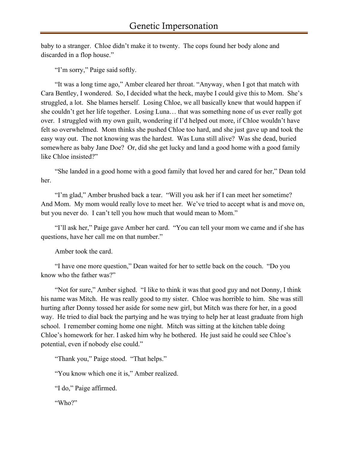baby to a stranger. Chloe didn't make it to twenty. The cops found her body alone and discarded in a flop house."

"I'm sorry," Paige said softly.

"It was a long time ago," Amber cleared her throat. "Anyway, when I got that match with Cara Bentley, I wondered. So, I decided what the heck, maybe I could give this to Mom. She's struggled, a lot. She blames herself. Losing Chloe, we all basically knew that would happen if she couldn't get her life together. Losing Luna… that was something none of us ever really got over. I struggled with my own guilt, wondering if I'd helped out more, if Chloe wouldn't have felt so overwhelmed. Mom thinks she pushed Chloe too hard, and she just gave up and took the easy way out. The not knowing was the hardest. Was Luna still alive? Was she dead, buried somewhere as baby Jane Doe? Or, did she get lucky and land a good home with a good family like Chloe insisted?"

"She landed in a good home with a good family that loved her and cared for her," Dean told her.

"I'm glad," Amber brushed back a tear. "Will you ask her if I can meet her sometime? And Mom. My mom would really love to meet her. We've tried to accept what is and move on, but you never do. I can't tell you how much that would mean to Mom."

"I'll ask her," Paige gave Amber her card. "You can tell your mom we came and if she has questions, have her call me on that number."

Amber took the card.

"I have one more question," Dean waited for her to settle back on the couch. "Do you know who the father was?"

"Not for sure," Amber sighed. "I like to think it was that good guy and not Donny, I think his name was Mitch. He was really good to my sister. Chloe was horrible to him. She was still hurting after Donny tossed her aside for some new girl, but Mitch was there for her, in a good way. He tried to dial back the partying and he was trying to help her at least graduate from high school. I remember coming home one night. Mitch was sitting at the kitchen table doing Chloe's homework for her. I asked him why he bothered. He just said he could see Chloe's potential, even if nobody else could."

"Thank you," Paige stood. "That helps."

"You know which one it is," Amber realized.

"I do," Paige affirmed.

"Who?"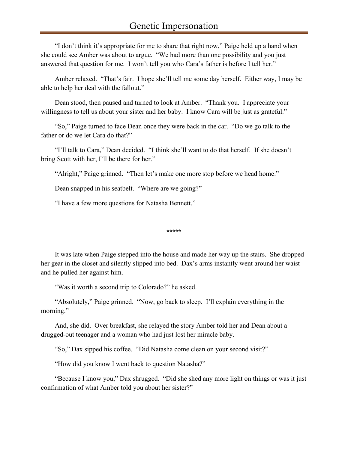"I don't think it's appropriate for me to share that right now," Paige held up a hand when she could see Amber was about to argue. "We had more than one possibility and you just answered that question for me. I won't tell you who Cara's father is before I tell her."

Amber relaxed. "That's fair. I hope she'll tell me some day herself. Either way, I may be able to help her deal with the fallout."

Dean stood, then paused and turned to look at Amber. "Thank you. I appreciate your willingness to tell us about your sister and her baby. I know Cara will be just as grateful."

"So," Paige turned to face Dean once they were back in the car. "Do we go talk to the father or do we let Cara do that?"

"I'll talk to Cara," Dean decided. "I think she'll want to do that herself. If she doesn't bring Scott with her, I'll be there for her."

"Alright," Paige grinned. "Then let's make one more stop before we head home."

Dean snapped in his seatbelt. "Where are we going?"

"I have a few more questions for Natasha Bennett."

\*\*\*\*\*

It was late when Paige stepped into the house and made her way up the stairs. She dropped her gear in the closet and silently slipped into bed. Dax's arms instantly went around her waist and he pulled her against him.

"Was it worth a second trip to Colorado?" he asked.

"Absolutely," Paige grinned. "Now, go back to sleep. I'll explain everything in the morning."

And, she did. Over breakfast, she relayed the story Amber told her and Dean about a drugged-out teenager and a woman who had just lost her miracle baby.

"So," Dax sipped his coffee. "Did Natasha come clean on your second visit?"

"How did you know I went back to question Natasha?"

"Because I know you," Dax shrugged. "Did she shed any more light on things or was it just confirmation of what Amber told you about her sister?"